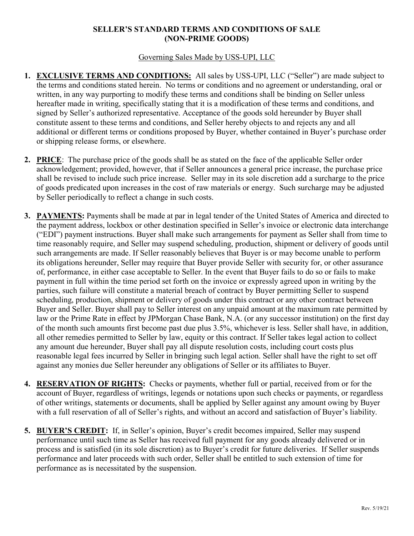## **SELLER'S STANDARD TERMS AND CONDITIONS OF SALE (NON-PRIME GOODS)**

## Governing Sales Made by USS-UPI, LLC

- **1. EXCLUSIVE TERMS AND CONDITIONS:** All sales by USS-UPI, LLC ("Seller") are made subject to the terms and conditions stated herein. No terms or conditions and no agreement or understanding, oral or written, in any way purporting to modify these terms and conditions shall be binding on Seller unless hereafter made in writing, specifically stating that it is a modification of these terms and conditions, and signed by Seller's authorized representative. Acceptance of the goods sold hereunder by Buyer shall constitute assent to these terms and conditions, and Seller hereby objects to and rejects any and all additional or different terms or conditions proposed by Buyer, whether contained in Buyer's purchase order or shipping release forms, or elsewhere.
- **2. PRICE**: The purchase price of the goods shall be as stated on the face of the applicable Seller order acknowledgement; provided, however, that if Seller announces a general price increase, the purchase price shall be revised to include such price increase. Seller may in its sole discretion add a surcharge to the price of goods predicated upon increases in the cost of raw materials or energy. Such surcharge may be adjusted by Seller periodically to reflect a change in such costs.
- **3. PAYMENTS:** Payments shall be made at par in legal tender of the United States of America and directed to the payment address, lockbox or other destination specified in Seller's invoice or electronic data interchange ("EDI") payment instructions. Buyer shall make such arrangements for payment as Seller shall from time to time reasonably require, and Seller may suspend scheduling, production, shipment or delivery of goods until such arrangements are made. If Seller reasonably believes that Buyer is or may become unable to perform its obligations hereunder, Seller may require that Buyer provide Seller with security for, or other assurance of, performance, in either case acceptable to Seller. In the event that Buyer fails to do so or fails to make payment in full within the time period set forth on the invoice or expressly agreed upon in writing by the parties, such failure will constitute a material breach of contract by Buyer permitting Seller to suspend scheduling, production, shipment or delivery of goods under this contract or any other contract between Buyer and Seller. Buyer shall pay to Seller interest on any unpaid amount at the maximum rate permitted by law or the Prime Rate in effect by JPMorgan Chase Bank, N.A. (or any successor institution) on the first day of the month such amounts first become past due plus 3.5%, whichever is less. Seller shall have, in addition, all other remedies permitted to Seller by law, equity or this contract. If Seller takes legal action to collect any amount due hereunder, Buyer shall pay all dispute resolution costs, including court costs plus reasonable legal fees incurred by Seller in bringing such legal action. Seller shall have the right to set off against any monies due Seller hereunder any obligations of Seller or its affiliates to Buyer.
- **4. RESERVATION OF RIGHTS:** Checks or payments, whether full or partial, received from or for the account of Buyer, regardless of writings, legends or notations upon such checks or payments, or regardless of other writings, statements or documents, shall be applied by Seller against any amount owing by Buyer with a full reservation of all of Seller's rights, and without an accord and satisfaction of Buyer's liability.
- **5. BUYER'S CREDIT:** If, in Seller's opinion, Buyer's credit becomes impaired, Seller may suspend performance until such time as Seller has received full payment for any goods already delivered or in process and is satisfied (in its sole discretion) as to Buyer's credit for future deliveries. If Seller suspends performance and later proceeds with such order, Seller shall be entitled to such extension of time for performance as is necessitated by the suspension.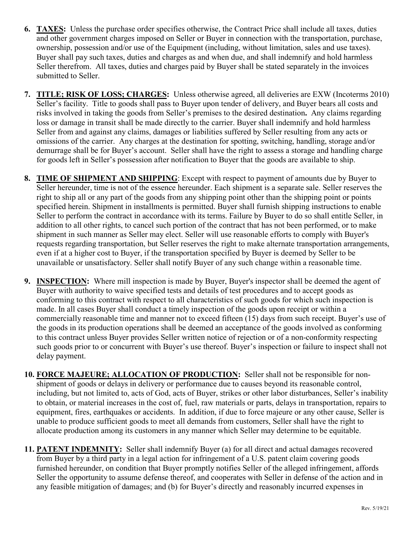- **6. TAXES:** Unless the purchase order specifies otherwise, the Contract Price shall include all taxes, duties and other government charges imposed on Seller or Buyer in connection with the transportation, purchase, ownership, possession and/or use of the Equipment (including, without limitation, sales and use taxes). Buyer shall pay such taxes, duties and charges as and when due, and shall indemnify and hold harmless Seller therefrom. All taxes, duties and charges paid by Buyer shall be stated separately in the invoices submitted to Seller.
- **7. TITLE; RISK OF LOSS; CHARGES:** Unless otherwise agreed, all deliveries are EXW (Incoterms 2010) Seller's facility. Title to goods shall pass to Buyer upon tender of delivery, and Buyer bears all costs and risks involved in taking the goods from Seller's premises to the desired destination**.** Any claims regarding loss or damage in transit shall be made directly to the carrier. Buyer shall indemnify and hold harmless Seller from and against any claims, damages or liabilities suffered by Seller resulting from any acts or omissions of the carrier. Any charges at the destination for spotting, switching, handling, storage and/or demurrage shall be for Buyer's account. Seller shall have the right to assess a storage and handling charge for goods left in Seller's possession after notification to Buyer that the goods are available to ship.
- **8. TIME OF SHIPMENT AND SHIPPING**: Except with respect to payment of amounts due by Buyer to Seller hereunder, time is not of the essence hereunder. Each shipment is a separate sale. Seller reserves the right to ship all or any part of the goods from any shipping point other than the shipping point or points specified herein. Shipment in installments is permitted. Buyer shall furnish shipping instructions to enable Seller to perform the contract in accordance with its terms. Failure by Buyer to do so shall entitle Seller, in addition to all other rights, to cancel such portion of the contract that has not been performed, or to make shipment in such manner as Seller may elect. Seller will use reasonable efforts to comply with Buyer's requests regarding transportation, but Seller reserves the right to make alternate transportation arrangements, even if at a higher cost to Buyer, if the transportation specified by Buyer is deemed by Seller to be unavailable or unsatisfactory. Seller shall notify Buyer of any such change within a reasonable time.
- **9. INSPECTION:** Where mill inspection is made by Buyer, Buyer's inspector shall be deemed the agent of Buyer with authority to waive specified tests and details of test procedures and to accept goods as conforming to this contract with respect to all characteristics of such goods for which such inspection is made. In all cases Buyer shall conduct a timely inspection of the goods upon receipt or within a commercially reasonable time and manner not to exceed fifteen (15) days from such receipt. Buyer's use of the goods in its production operations shall be deemed an acceptance of the goods involved as conforming to this contract unless Buyer provides Seller written notice of rejection or of a non-conformity respecting such goods prior to or concurrent with Buyer's use thereof. Buyer's inspection or failure to inspect shall not delay payment.
- **10. FORCE MAJEURE; ALLOCATION OF PRODUCTION:** Seller shall not be responsible for nonshipment of goods or delays in delivery or performance due to causes beyond its reasonable control, including, but not limited to, acts of God, acts of Buyer, strikes or other labor disturbances, Seller's inability to obtain, or material increases in the cost of, fuel, raw materials or parts, delays in transportation, repairs to equipment, fires, earthquakes or accidents. In addition, if due to force majeure or any other cause, Seller is unable to produce sufficient goods to meet all demands from customers, Seller shall have the right to allocate production among its customers in any manner which Seller may determine to be equitable.
- **11. PATENT INDEMNITY:** Seller shall indemnify Buyer (a) for all direct and actual damages recovered from Buyer by a third party in a legal action for infringement of a U.S. patent claim covering goods furnished hereunder, on condition that Buyer promptly notifies Seller of the alleged infringement, affords Seller the opportunity to assume defense thereof, and cooperates with Seller in defense of the action and in any feasible mitigation of damages; and (b) for Buyer's directly and reasonably incurred expenses in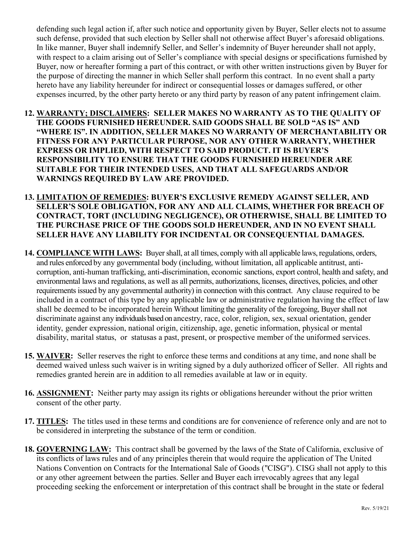defending such legal action if, after such notice and opportunity given by Buyer, Seller elects not to assume such defense, provided that such election by Seller shall not otherwise affect Buyer's aforesaid obligations. In like manner, Buyer shall indemnify Seller, and Seller's indemnity of Buyer hereunder shall not apply, with respect to a claim arising out of Seller's compliance with special designs or specifications furnished by Buyer, now or hereafter forming a part of this contract, or with other written instructions given by Buyer for the purpose of directing the manner in which Seller shall perform this contract. In no event shall a party hereto have any liability hereunder for indirect or consequential losses or damages suffered, or other expenses incurred, by the other party hereto or any third party by reason of any patent infringement claim.

- **12. WARRANTY; DISCLAIMERS: SELLER MAKES NO WARRANTY AS TO THE QUALITY OF THE GOODS FURNISHED HEREUNDER. SAID GOODS SHALL BE SOLD "AS IS" AND "WHERE IS". IN ADDITION, SELLER MAKES NO WARRANTY OF MERCHANTABILITY OR FITNESS FOR ANY PARTICULAR PURPOSE, NOR ANY OTHER WARRANTY, WHETHER EXPRESS OR IMPLIED, WITH RESPECT TO SAID PRODUCT. IT IS BUYER'S RESPONSIBILITY TO ENSURE THAT THE GOODS FURNISHED HEREUNDER ARE SUITABLE FOR THEIR INTENDED USES, AND THAT ALL SAFEGUARDS AND/OR WARNINGS REQUIRED BY LAW ARE PROVIDED.**
- **13. LIMITATION OF REMEDIES: BUYER'S EXCLUSIVE REMEDY AGAINST SELLER, AND SELLER'S SOLE OBLIGATION, FOR ANY AND ALL CLAIMS, WHETHER FOR BREACH OF CONTRACT, TORT (INCLUDING NEGLIGENCE), OR OTHERWISE, SHALL BE LIMITED TO THE PURCHASE PRICE OF THE GOODS SOLD HEREUNDER, AND IN NO EVENT SHALL SELLER HAVE ANY LIABILITY FOR INCIDENTAL OR CONSEQUENTIAL DAMAGES.**
- 14. **COMPLIANCE WITH LAWS:** Buyer shall, at all times, comply with all applicable laws, regulations, orders, and rules enforced by any governmental body (including, without limitation, all applicable antitrust, anticorruption, anti-human trafficking, anti-discrimination, economic sanctions, export control, health and safety, and environmental laws and regulations, as well as all permits, authorizations, licenses, directives, policies, and other requirements issued by any governmental authority) in connection with this contract. Any clause required to be included in a contract of this type by any applicable law or administrative regulation having the effect of law shall be deemed to be incorporated herein Without limiting the generality of the foregoing, Buyer shall not discriminate against any individuals based on ancestry, race, color, religion, sex, sexual orientation, gender identity, gender expression, national origin, citizenship, age, genetic information, physical or mental disability, marital status, or statusas a past, present, or prospective member of the uniformed services.
- **15. WAIVER:** Seller reserves the right to enforce these terms and conditions at any time, and none shall be deemed waived unless such waiver is in writing signed by a duly authorized officer of Seller. All rights and remedies granted herein are in addition to all remedies available at law or in equity.
- **16. ASSIGNMENT:** Neither party may assign its rights or obligations hereunder without the prior written consent of the other party.
- **17. TITLES:** The titles used in these terms and conditions are for convenience of reference only and are not to be considered in interpreting the substance of the term or condition.
- **18. GOVERNING LAW:** This contract shall be governed by the laws of the State of California, exclusive of its conflicts of laws rules and of any principles therein that would require the application of The United Nations Convention on Contracts for the International Sale of Goods ("CISG"). CISG shall not apply to this or any other agreement between the parties. Seller and Buyer each irrevocably agrees that any legal proceeding seeking the enforcement or interpretation of this contract shall be brought in the state or federal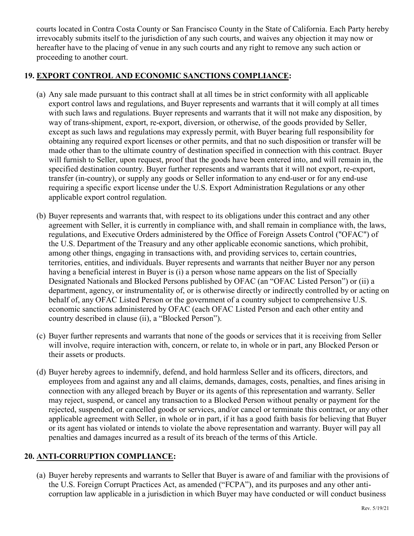courts located in Contra Costa County or San Francisco County in the State of California. Each Party hereby irrevocably submits itself to the jurisdiction of any such courts, and waives any objection it may now or hereafter have to the placing of venue in any such courts and any right to remove any such action or proceeding to another court.

## **19. EXPORT CONTROL AND ECONOMIC SANCTIONS COMPLIANCE:**

- (a) Any sale made pursuant to this contract shall at all times be in strict conformity with all applicable export control laws and regulations, and Buyer represents and warrants that it will comply at all times with such laws and regulations. Buyer represents and warrants that it will not make any disposition, by way of trans-shipment, export, re-export, diversion, or otherwise, of the goods provided by Seller, except as such laws and regulations may expressly permit, with Buyer bearing full responsibility for obtaining any required export licenses or other permits, and that no such disposition or transfer will be made other than to the ultimate country of destination specified in connection with this contract. Buyer will furnish to Seller, upon request, proof that the goods have been entered into, and will remain in, the specified destination country. Buyer further represents and warrants that it will not export, re-export, transfer (in-country), or supply any goods or Seller information to any end-user or for any end-use requiring a specific export license under the U.S. Export Administration Regulations or any other applicable export control regulation.
- (b) Buyer represents and warrants that, with respect to its obligations under this contract and any other agreement with Seller, it is currently in compliance with, and shall remain in compliance with, the laws, regulations, and Executive Orders administered by the Office of Foreign Assets Control ("OFAC") of the U.S. Department of the Treasury and any other applicable economic sanctions, which prohibit, among other things, engaging in transactions with, and providing services to, certain countries, territories, entities, and individuals. Buyer represents and warrants that neither Buyer nor any person having a beneficial interest in Buyer is (i) a person whose name appears on the list of Specially Designated Nationals and Blocked Persons published by OFAC (an "OFAC Listed Person") or (ii) a department, agency, or instrumentality of, or is otherwise directly or indirectly controlled by or acting on behalf of, any OFAC Listed Person or the government of a country subject to comprehensive U.S. economic sanctions administered by OFAC (each OFAC Listed Person and each other entity and country described in clause (ii), a "Blocked Person").
- (c) Buyer further represents and warrants that none of the goods or services that it is receiving from Seller will involve, require interaction with, concern, or relate to, in whole or in part, any Blocked Person or their assets or products.
- (d) Buyer hereby agrees to indemnify, defend, and hold harmless Seller and its officers, directors, and employees from and against any and all claims, demands, damages, costs, penalties, and fines arising in connection with any alleged breach by Buyer or its agents of this representation and warranty. Seller may reject, suspend, or cancel any transaction to a Blocked Person without penalty or payment for the rejected, suspended, or cancelled goods or services, and/or cancel or terminate this contract, or any other applicable agreement with Seller, in whole or in part, if it has a good faith basis for believing that Buyer or its agent has violated or intends to violate the above representation and warranty. Buyer will pay all penalties and damages incurred as a result of its breach of the terms of this Article.

## **20. ANTI-CORRUPTION COMPLIANCE:**

(a) Buyer hereby represents and warrants to Seller that Buyer is aware of and familiar with the provisions of the U.S. Foreign Corrupt Practices Act, as amended ("FCPA"), and its purposes and any other anticorruption law applicable in a jurisdiction in which Buyer may have conducted or will conduct business